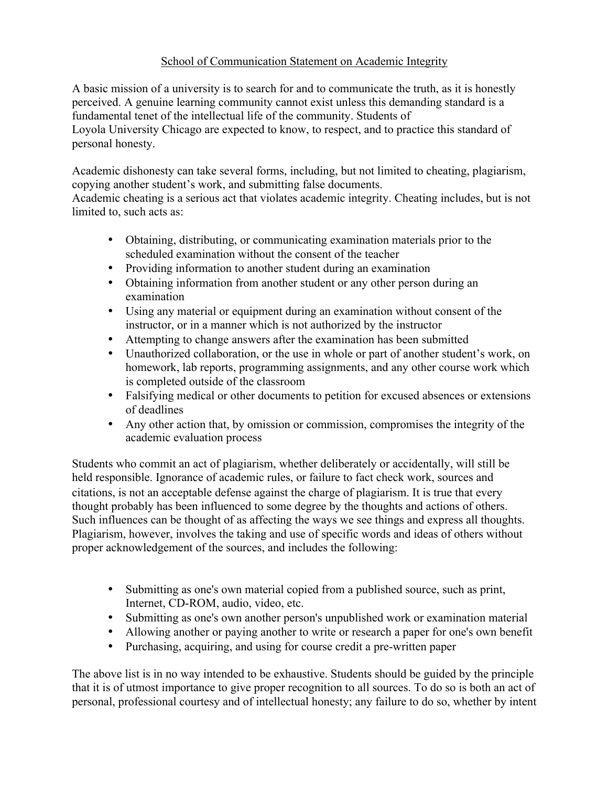## School of Communication Statement on Academic Integrity

A basic mission of a university is to search for and to communicate the truth, as it is honestly perceived. A genuine learning community cannot exist unless this demanding standard is a fundamental tenet of the intellectual life of the community. Students of Loyola University Chicago are expected to know, to respect, and to practice this standard of personal honesty.

Academic dishonesty can take several forms, including, but not limited to cheating, plagiarism, copying another student's work, and submitting false documents.

Academic cheating is a serious act that violates academic integrity. Cheating includes, but is not limited to, such acts as:

- Obtaining, distributing, or communicating examination materials prior to the scheduled examination without the consent of the teacher
- Providing information to another student during an examination
- Obtaining information from another student or any other person during an examination
- Using any material or equipment during an examination without consent of the instructor, or in a manner which is not authorized by the instructor
- Attempting to change answers after the examination has been submitted
- Unauthorized collaboration, or the use in whole or part of another student's work, on homework, lab reports, programming assignments, and any other course work which is completed outside of the classroom
- Falsifying medical or other documents to petition for excused absences or extensions of deadlines
- Any other action that, by omission or commission, compromises the integrity of the academic evaluation process

Students who commit an act of plagiarism, whether deliberately or accidentally, will still be held responsible. Ignorance of academic rules, or failure to fact check work, sources and citations, is not an acceptable defense against the charge of plagiarism. It is true that every thought probably has been influenced to some degree by the thoughts and actions of others. Such influences can be thought of as affecting the ways we see things and express all thoughts. Plagiarism, however, involves the taking and use of specific words and ideas of others without proper acknowledgement of the sources, and includes the following:

- Submitting as one's own material copied from a published source, such as print, Internet, CD-ROM, audio, video, etc.
- Submitting as one's own another person's unpublished work or examination material
- Allowing another or paying another to write or research a paper for one's own benefit
- Purchasing, acquiring, and using for course credit a pre-written paper

The above list is in no way intended to be exhaustive. Students should be guided by the principle that it is of utmost importance to give proper recognition to all sources. To do so is both an act of personal, professional courtesy and of intellectual honesty; any failure to do so, whether by intent